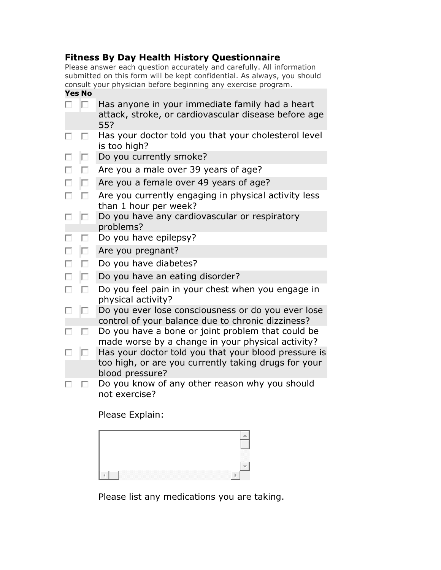## **Fitness By Day Health History Questionnaire**

Please answer each question accurately and carefully. All information submitted on this form will be kept confidential. As always, you should consult your physician before beginning any exercise program.

## **Yes No**

|   | П. | Has anyone in your immediate family had a heart<br>attack, stroke, or cardiovascular disease before age<br>55? |  |  |
|---|----|----------------------------------------------------------------------------------------------------------------|--|--|
| п | п  | Has your doctor told you that your cholesterol level<br>is too high?                                           |  |  |
| □ | П. | Do you currently smoke?                                                                                        |  |  |
| п | п  | Are you a male over 39 years of age?                                                                           |  |  |
| П | П  | Are you a female over 49 years of age?                                                                         |  |  |
| п | П  | Are you currently engaging in physical activity less<br>than 1 hour per week?                                  |  |  |
| п | П  | Do you have any cardiovascular or respiratory<br>problems?                                                     |  |  |
| п | п  | Do you have epilepsy?                                                                                          |  |  |
| г | П  | Are you pregnant?                                                                                              |  |  |
| п | п  | Do you have diabetes?                                                                                          |  |  |
| П | п  | Do you have an eating disorder?                                                                                |  |  |
| п | п  | Do you feel pain in your chest when you engage in<br>physical activity?                                        |  |  |
| п | П  | Do you ever lose consciousness or do you ever lose<br>control of your balance due to chronic dizziness?        |  |  |
| п | п  | Do you have a bone or joint problem that could be<br>made worse by a change in your physical activity?         |  |  |
|   | П. | Has your doctor told you that your blood pressure is                                                           |  |  |
|   |    | too high, or are you currently taking drugs for your<br>blood pressure?                                        |  |  |
| п | ш  | Do you know of any other reason why you should<br>not exercise?                                                |  |  |

Please Explain:

| _____ |
|-------|
| ь     |

Please list any medications you are taking.